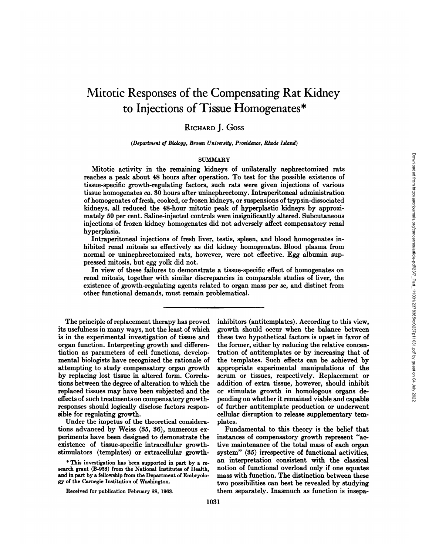# Mitotic Responses of the Compensating Rat Kidney to Injections of Tissue Homogenates\*

## RICHARD J. Goss

### *(Department of Biology, Brown University, Providence, Rhode Island)*

### **SUMMARY**

Mitotic activity in the remaining kidneys of unilaterally nephrectomized rats reaches a peak about 48 hours after operation. To test for the possible existence of tissue-specific growth-regulating factors, such rats were given injections of various tissue homogenates ca. 30 hours after uninephrectomy. Intraperitoneal administration of homogenates of fresh, cooked, or frozen kidneys, or suspensions of trypsin-dissociated kidneys, all reduced the 48-hour mitotic peak of hyperplastic kidneys by approxi mately 50 per cent. Saline-injected controls were insignificantly altered. Subcutaneous injections of frozen kidney homogenates did not adversely affect compensatory renal hyperplasia.

Intraperitoneal injections of fresh liver, testis, spleen, and blood homogenates in hibited renal mitosis as effectively as did kidney homogenates. Blood plasma from normal or uninephrectomized rats, however, were not effective. Egg albumin sup pressed mitosis, but egg yolk did not.

In view of these failures to demonstrate a tissue-specific effect of homogenates on renal mitosis, together with similar discrepancies in comparable studies of liver, the existence of growth-regulating agents related to organ mass per se, and distinct from other functional demands, must remain problematical.

The principle of replacement therapy has proved inhibitors (antitemplates). According to this view, its usefulness in many ways, not the least of which growth should occur when the balance between is in the experimental investigation of tissue and these two hypothetical factors is upset in favor of organ function. Interpreting growth and difieren- the former, either by reducing the relative concentiation as parameters of cell functions, develop- tration of antitemplates or by increasing that of mental biologists have recognized the rationale of the templates. Such effects can be achieved by attempting to study compensatory organ growth appropriate experimental manipulations of the by replacing lost tissue in altered form. Correla- serum or tissues, respectively. Replacement or tions between the degree of alteration to which the addition of extra tissue, however, should inhibit replaced tissues may have been subjected and the or stimulate growth in homologous organs deeffects of such treatments on compensatory growth- pending on whether it remained viable and capable responses should logically disclose factors respon- of further antitemplate production or underwent sible for regulating growth. cellular disruption to release supplementary tem-

Under the impetus of the theoretical considera- plates. tions advanced by Weiss (35, 36), numerous ex- Fundamental to this theory is the belief that periments have been designed to demonstrate the instances of compensatory growth represent "acexistence of tissue-specific intracellular growth- tive maintenance of the total mass of each organ stimulators (templates) or extracellular growth- system" (35) irrespective of functional activities,

»Thisinvestigation has been supported in part by a re- an interpretation consistent with the classical search grant (B-923) from the National Institutes of Health, notion of functional overload only if one equates and in part by a fellowship from the Department of Embryolo- mass with function. The distinction between these gy of the Carnegie Institution of Washington. two possibilities can best be revealed by studying Received for publication February 28, 1963. them separately. Inasmuch as function is insepa-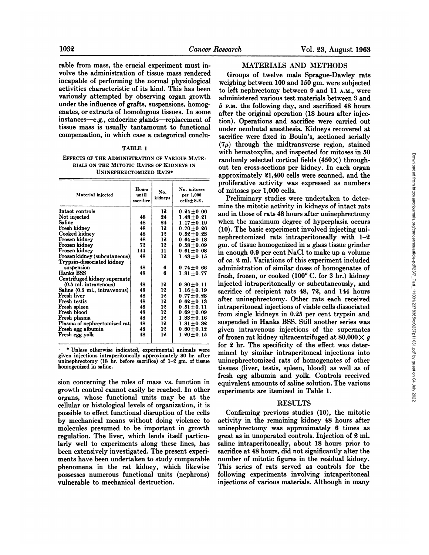rable from mass, the crucial experiment must involve the administration of tissue mass rendered incapable of performing the normal physiological activities characteristic of its kind. This has been variously attempted by observing organ growth under the influence of grafts, suspensions, homogenates, or extracts of homologous tissues. In some instances—e.g., endocrine glands—replacement of tissue mass is usually tantamount to functional compensation, in which case a categorical conclu-

### TABLE 1

EFFECTS OF THE ADMINISTRATION OF VARIOUS MATE-RIALS ON THE MITOTIC RATES OF KIDNEYS IN UNINEPHRECTOMIZED RATS\*

| Material injected                   | Hours<br>until<br>sacrifice | No.<br>kidneys | No. mitoses<br>per 1,000<br>$cells + S.E.$ |
|-------------------------------------|-----------------------------|----------------|--------------------------------------------|
| Intact controls                     |                             | 12             | $0.24 \pm 0.06$                            |
| Not injected                        | 48                          | 24             | $1.48 + 0.21$                              |
| Saline                              | 48                          | 24             | $1.17 + 0.19$                              |
| Fresh kidney                        | 48                          | 12             | $0.70 + 0.26$                              |
| Cooked kidney                       | 48                          | 12             | $0.52 + 0.93$                              |
| Frozen kidney                       | 48                          | 12             | $0.64 \pm 0.18$                            |
| Frozen kidnev                       | 72                          | 12             | $0.58 \pm 0.09$                            |
| Frozen kidney                       | 144                         | 11             | $0.61 \pm 0.08$                            |
| <b>Frozen kidney (subcutaneous)</b> | 48                          | 12             | $1.43 \pm 0.15$                            |
| Trypsin-dissociated kidney          |                             |                |                                            |
| suspension                          | 48                          | 6              | $0.74 + 0.66$                              |
| <b>Hanks BSS</b>                    | 48                          | 6              | $1.81 \pm 0.77$                            |
| Centrifuged kidney supernate        |                             |                |                                            |
| $(0.5 \text{ ml. intravenous})$     | 48                          | 12             | $0.80\pm0.11$                              |
| Saline (0.5 ml., intravenous)       | 48                          | 12             | $1.16 \pm 0.19$                            |
| Fresh liver                         | 48                          | 12             | $0.77 + 0.23$                              |
| Fresh testis                        | 48                          | 12             | $0.62 + 0.13$                              |
| Fresh spleen                        | 48                          | 12             | $0.51 \pm 0.11$                            |
| Fresh blood                         | 48                          | 12             | $0.69 \pm 0.09$                            |
| Fresh plasma                        | 48                          | 12             | $1.33 \pm 0.16$                            |
| Plasma of nephrectomized rat        | 48                          | 12             | $1.31 \pm 0.32$                            |
| Fresh egg albumin                   | 48                          | 12             | $0.80 \pm 0.12$                            |
| Fresh egg yolk                      | 48                          | 12             | $1.20 \pm 0.15$                            |
|                                     |                             |                |                                            |

\* Unless otherwise indicated, experimental animals were given injections intraperitoneally approximately 30 hr. after uninephrectomy (18 hr. before sacrifice) of  $1-\hat{2}$  gm. of tissue homogenized in saline.

sion concerning the roles of mass vs. function in growth control cannot easily be reached. In other organs, whose functional units may be at the cellular or histological levels of organization, it is possible to effect functional disruption of the cells by mechanical means without doing violence to molecules presumed to be important in growth regulation. The liver, which lends itself particularly well to experiments along these lines, has been extensively investigated. The present experiments have been undertaken to study comparable phenomena in the rat kidney, which likewise possesses numerous functional units (nephrons) vulnerable to mechanical destruction.

### MATERIALS AND METHODS

Groups of twelve male Sprague-Dawley rats weighing between 100 and 150 gm. were subjected to left nephrectomy between 9 and 11 A.M., were administered various test materials between 3 and 5 P.M. the following day, and sacrificed 48 hours after the original operation (18 hours after injection). Operations and sacrifice were carried out under nembutal anesthesia. Kidneys recovered at sacrifice were fixed in Bouin's, sectioned serially  $(7\mu)$  through the midtransverse region, stained with hematoxylin, and inspected for mitoses in 50 randomly selected cortical fields  $(450\times)$  throughout ten cross-sections per kidney. In each organ approximately 21,400 cells were scanned, and the proliferative activity was expressed as numbers of mitoses per 1.000 cells.

Preliminary studies were undertaken to determine the mitotic activity in kidneys of intact rats and in those of rats 48 hours after uninephrectomy when the maximum degree of hyperplasia occurs (10). The basic experiment involved injecting uninephrectomized rats intraperitoneally with 1-2 gm. of tissue homogenized in a glass tissue grinder in enough 0.9 per cent NaCl to make up a volume of ca. 2 ml. Variations of this experiment included administration of similar doses of homogenates of fresh, frozen, or cooked (100°C. for 3 hr.) kidney injected intraperitoneally or subcutaneously, and sacrifice of recipient rats 48, 72, and 144 hours after uninephrectomy. Other rats each received intraperitoneal injections of viable cells dissociated from single kidneys in 0.25 per cent trypsin and suspended in Hanks BSS. Still another series was given intravenous injections of the supernates of frozen rat kidney ultracentrifuged at  $80,000 \times g$ for 2 hr. The specificity of the effect was determined by similar intraperitoneal injections into uninephrectomized rats of homogenates of other tissues (liver, testis, spleen, blood) as well as of fresh egg albumin and volk. Controls received equivalent amounts of saline solution. The various experiments are itemized in Table 1.

### **RESULTS**

Confirming previous studies (10), the mitotic activity in the remaining kidney 48 hours after uninephrectomy was approximately 6 times as great as in unoperated controls. Injection of 2 ml. saline intraperitoneally, about 18 hours prior to sacrifice at 48 hours, did not significantly alter the number of mitotic figures in the residual kidney. This series of rats served as controls for the following experiments involving intraperitoneal injections of various materials. Although in many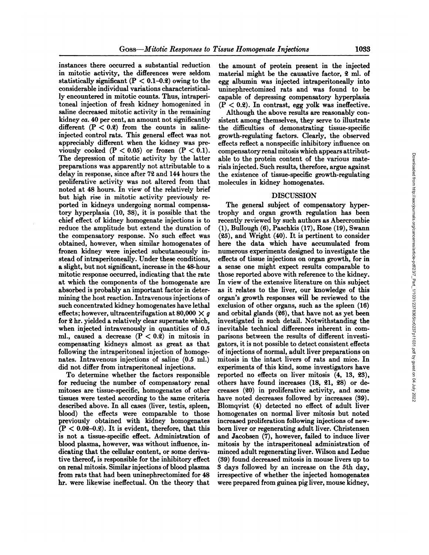instances there occurred a substantial reduction in mitotic activity, the differences were seldom statistically significant  $(P < 0.1 - 0.2)$  owing to the considerable individual variations characteristical ly encountered in mitotic counts. Thus, intraperitoneal injection of fresh kidney homogenized in saline decreased mitotic activity in the remaining kidney ca. 40 per cent, an amount not significantly different  $(P < 0.2)$  from the counts in salineinjected control rats. This general effect was not appreciably different when the kidney was pre viously cooked  $(P < 0.05)$  or frozen  $(P < 0.1)$ . The depression of mitotic activity by the latter preparations was apparently not attributable to a delay in response, since after 72 and 144 hours the proliferative activity was not altered from that noted at 48 hours. In view of the relatively brief but high rise in mitotic activity previously re ported in kidneys undergoing normal compensa tory hyperplasia (10, 38), it is possible that the chief effect of kidney homogenate injections is to reduce the amplitude but extend the duration of the compensatory response. No such effect was obtained, however, when similar homogenates of frozen kidney were injected subcutaneously in stead of intraperitoneally. Under these conditions, a slight, but not significant, increase in the 48-hour mitotic response occurred, indicating that the rate at which the components of the homogenate are absorbed is probably an important factor in deter mining the host reaction. Intravenous injections of organ's growth responses will be reviewed to the such concentrated kidney homogenates have lethal effects; however, ultracentrifugation at 80,000  $\times$  g for 2 hr. yielded a relatively clear supernate which, when injected intravenously in quantities of 0.5 ml., caused a decrease  $(P < 0.2)$  in mitosis in compensating kidneys almost as great as that following the intraperitoneal injection of homoge nates. Intravenous injections of saline (0.5 ml.) did not differ from intraperitoneal injections.

To determine whether the factors responsible for reducing the number of compensatory renal mitoses are tissue-specific, homogenates of other tissues were tested according to the same criteria described above. In all cases (liver, testis, spleen, blood) the effects were comparable to those previously obtained with kidney homogenates  $(P < 0.02-0.2)$ . It is evident, therefore, that this is not a tissue-specific effect. Administration of blood plasma, however, was without influence, in dicating that the cellular content, or some deriva tive thereof, is responsible for the inhibitory effect on renal mitosis. Similar injections of blood plasma from rats that had been uninephrectomized for 48 hr. were likewise ineffectual. On the theory that

the amount of protein present in the injected material might be the causative factor, 2 ml. of egg albumin was injected intraperitoneally into uninephrectomized rats and was found to be capable of depressing compensatory hyperplasia  $(P < 0.2)$ . In contrast, egg yolk was ineffective.

Although the above results are reasonably con sistent among themselves, they serve to illustrate the difficulties of demonstrating tissue-specific growth-regulating factors. Clearly, the observed effects reflect a nonspecific inhibitory influence on compensatory renal mitosis which appears attribut able to the protein content of the various mate rials injected. Such results, therefore, argue against the existence of tissue-specific growth-regulating molecules in kidney homogenates.

### DISCUSSION

The general subject of compensatory hyper trophy and organ growth regulation has been recently reviewed by such authors as Abercrombie (1), Bullough (6), Paschkis (17), Rose (19), Swann (25), and Wright (40). It is pertinent to consider here the data which have accumulated from numerous experiments designed to investigate the effects of tissue injections on organ growth, for in a sense one might expect results comparable to those reported above with reference to the kidney. In view of the extensive literature on this subject as it relates to the liver, our knowledge of this exclusion of other organs, such as the spleen (16) and orbital glands (26), that have not as yet been investigated in such detail. Notwithstanding the inevitable technical differences inherent in com parisons between the results of different investi gators, it is not possible to detect consistent effects of injections of normal, adult liver preparations on mitosis in the intact livers of rats and mice. In experiments of this kind, some investigators have reported no effects on liver mitosis (4, 13, 23), others have found increases (18, 21, 28) or de creases (20) in proliferative activity, and some have noted decreases followed by increases (39). Blomqvist (4) detected no effect of adult liver homogenates on normal liver mitosis but noted increased proliferation following injections of new born liver or regenerating adult liver. Christensen and Jacobsen (7), however, failed to induce liver mitosis by the intraperitoneal administration of minced adult regenerating liver. Wilson and Leduc (39) found decreased mitosis in mouse livers up to 3 days followed by an increase on the 5th day, irrespective of whether the injected homogenates were prepared from guinea pig liver, mouse kidney,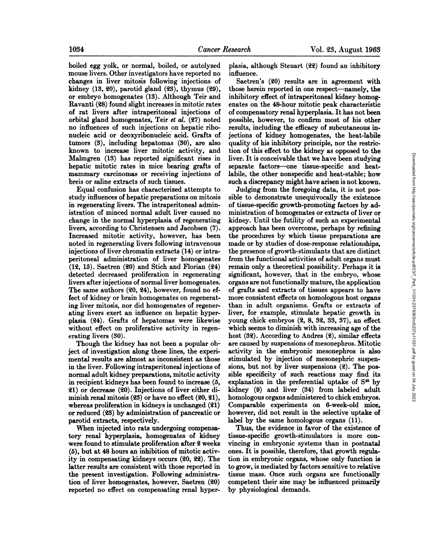boiled egg yolk, or normal, boiled, or autolyzed mouse livers. Other investigators have reported no influence. changes in liver mitosis following injections of kidney (13, 20), parotid gland (23), thymus (29), or embryo homogenates (13). Although Teir and Ravanti (28) found slight increases in mitotic rates of rat livers after intraperitoneal injections of orbital gland homogenates, Teir et al. (27) noted no influences of such injections on hepatic ribonucleic acid or deoxyribonucleic acid. Grafts of tumors (3), including hepatomas (30), are also known to increase liver mitotic activity, and Malmgren (13) has reported significant rises in hepatic mitotic rates in mice bearing grafts of mammary carcinomas or receiving injections of breis or saline extracts of such tissues.

Equal confusion has characterized attempts to study influences of hepatic preparations on mitosis in regenerating livers. The intraperitoneal admin istration of minced normal adult liver caused no change in the normal hyperplasia of regenerating livers, according to Christensen and Jacobsen (7). Increased mitotic activity, however, has been noted in regenerating livers following intravenous injections of liver chromatin extracts (14) or intra peritoneal administration of liver homogenates (12, 15). Saetren (20) and Stich and Florian (24) detected decreased proliferation in regenerating livers after injections of normal liver homogenates. The same authors (20, 24), however, found no ef fect of kidney or brain homogenates on regenerat ing liver mitosis, nor did homogenates of regener ating livers exert an influence on hepatic hyper plasia (24). Grafts of hepatomas were likewise without effect on proliferative activity in regen erating livers (30).

Though the kidney has not been a popular ob ject of investigation along these lines, the experi mental results are almost as inconsistent as those in the liver. Following intraperitoneal injections of normal adult kidney preparations, mitotic activity in recipient kidneys has been found to increase (5, 21) or decrease (20). Injections of liver either di minish renal mitosis (23) or have no effect (20, 21), whereas proliferation in kidneys is unchanged (21) Comparable experiments on 6-week-old mice, or reduced (23) by administration of pancreatic or parotid extracts, respectively.

When injected into rats undergoing compensa tory renal hyperplasia, homogenates of kidney were found to stimulate proliferation after 2 weeks (5), but at 48 hours an inhibition of mitotic activ ity in compensating kidneys occurs (20, 22). The latter results are consistent with those reported in the present investigation. Following administra tion of liver homogenates, however, Saetren (20) reported no effect on compensating renal hyper

plasia, although Steuart (22) found an inhibitory

Saetren's (20) results are in agreement with those herein reported in one respect—namely, the inhibitory effect of intraperitoneal kidney homog enates on the 48-hour mitotic peak characteristic of compensatory renal hyperplasia. It has not been possible, however, to confirm most of his other results, including the efficacy of subcutaneous injections of kidney homogenates, the heat-labile quality of his inhibitory principle, nor the restric tion of this effect to the kidney as opposed to the liver. It is conceivable that we have been studying separate factors—one tissue-specific and heatsuch a discrepancy might have arisen is not known.

liver. It is conceivable that we have been studying<br>iver. It is conceivable that we have been studying<br>assemate factors—one tissue-specific and heat-stable; how<br>such a discrepancy might have arisen is not known.<br>Judging f Judging from the foregoing data, it is not pos sible to demonstrate unequivocally the existence of tissue-specific growth-promoting factors by ad ministration of homogenates or extracts of liver or kidney. Until the futility of such an experimental approach has been overcome, perhaps by refining the procedures by which tissue preparations are made or by studies of dose-response relationships, the presence of growth-stimulants that are distinct from the functional activities of adult organs must remain only a theoretical possibility. Perhaps it is significant, however, that in the embryo, whose organs are not functionally mature, the application of grafts and extracts of tissues appears to have more consistent effects on homologous host organs than in adult organisms. Grafts or extracts of liver, for example, stimulate hepatic growth in young chick embryos (2, 8, 32, 33, 37), an effect which seems to diminish with increasing age of the host (32). According to Andres (2), similar effects are caused by suspensions of mesonephros. Mitotic activity in the embryonic mesonephros is also stimulated by injection of mesonephric suspen sions, but not by liver suspensions (2). The pos sible specificity of such reactions may find its explanation in the preferential uptake of S<sup>35</sup> by kidney (9) and liver (34) from labeled adult homologous organs administered to chick embryos. however, did not result in the selective uptake of label by the same homologous organs (11).

Thus, the evidence in favor of the existence of tissue-specific growth-stimulators is more con vincing in embryonic systems than in postnatal ones. It is possible, therefore, that growth regula tion in embryonic organs, whose only function is to grow, is mediated by factors sensitive to relative tissue mass. Once such organs are functionally competent their size may be influenced primarily by physiological demands.